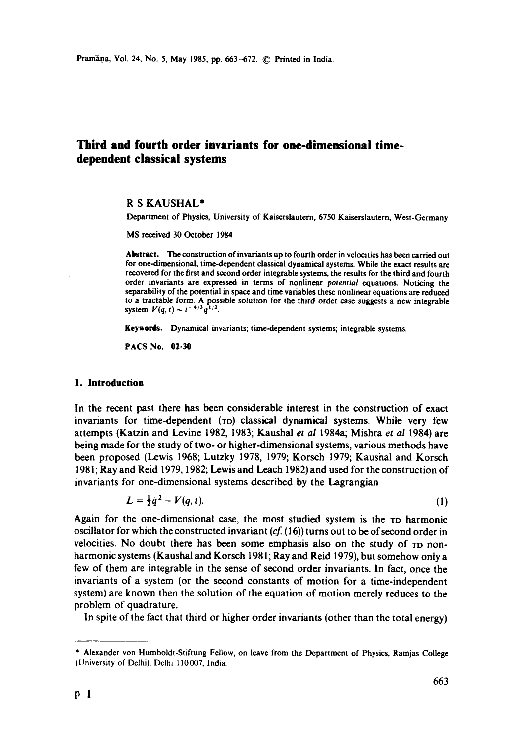# **Third and fourth order invariants for one-dimensional timedependent classical systems**

# R S KAUSHAL\*

Department of Physics, University of Kaiserslautern, 6750 Kaiserslautern, West-Germany

MS received 30 October 1984

Abstract. The construction of invariants up to fourth order in velocities has been carried out for one-dimensional, time-dependent classical dynamical systems. While the exact results are recovered for the first and second order integrable systems, the results for the third and fourth order invariants are expressed in terms of nonlinear *potential* equations. Noticing the separability of the potential in space and time variables these nonlinear equations are reduced to a tractable form. A possible solution for the third order case suggests a new integrable system  $V(q, t) \sim t^{-4/3} q^{1/2}$ .

**Keywords.** Dynamical invariants; time-dependent systems; integrable systems.

**PACS No. 02.30** 

## **1. Introduction**

In the recent past there has been considerable interest in the construction of exact invariants for time-dependent (TD) classical dynamical systems. While very few attempts (Katzin and Levine 1982, 1983; Kaushal *et ai* 1984a; Mishra *et al* 1984) are being made for the study of two- or higher-dimensional systems, various methods have been proposed (Lewis 1968; Lutzky 1978, 1979; Korsch 1979; Kaushal and Korsch 1981; Ray and Reid 1979, 1982; Lewis and Leach 1982) and used for the construction of invariants for one-dimensional systems described by the Lagrangian

$$
L = \frac{1}{2}q^2 - V(q, t). \tag{1}
$$

Again for the one-dimensional case, the most studied system is the TD harmonic oscillator for which the constructed invariant *(cf.* (16)) turns out to be of second order in velocities. No doubt there has been some emphasis also on the study of TD nonharmonic systems (Kaushal and Korsch 1981; Ray and Reid 1979), but somehow only a few of them are integrable in the sense of second order invariants. In fact, once the invariants of a system (or the second constants of motion for a time-independent system) are known then the solution of the equation of motion merely reduces to the problem of quadrature.

In spite of the fact that third or higher order invariants (other than the total energy)

<sup>\*</sup> Alexander von Humboldt-Stiftung Fellow, on leave from the Department of Physics, Ramjas College (University of Delhi), Delhi 110007, India.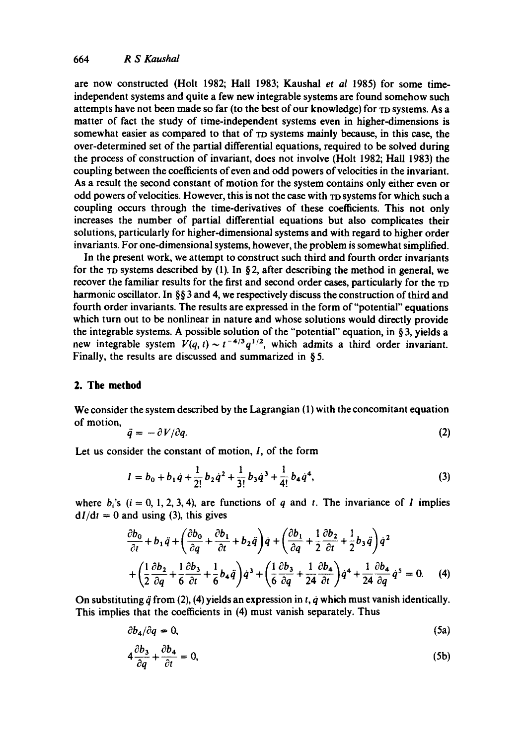### 664 *R S Kaushal*

are now constructed (Holt 1982; Hall 1983; Kaushal *et al* 1985) for some timeindependent systems and quite a few new integrable systems are found somehow such attempts have not been made so far (to the best of our knowledge) for ro systems. As a matter of fact the study of time-independent systems even in higher-dimensions is somewhat easier as compared to that of  $TD$  systems mainly because, in this case, the over-determined set of the partial differential equations, required to be solved during the process of construction of invariant, does not involve (Holt 1982; Hall 1983) the coupling between the coefficients of even and odd powers of velocities in the invariant. As a result the second constant of motion for the system contains only either even or odd powers of velocities. However, this is not the case with ro systems for which such a coupling occurs through the time-derivatives of these coefficients. This not only increases the number of partial differential equations but also complicates their solutions, particularly for higher-dimensional systems and with regard to higher order invariants. For one-dimensional systems, however, the problem is somewhat simplified.

In the present work, we attempt to construct such third and fourth order invariants for the TD systems described by (1). In §2, after describing the method in general, we recover the familiar results for the first and second order cases, particularly for the rp harmonic oscillator. In §§ 3 and 4, we respectively discuss the construction of third and fourth order invariants. The results are expressed in the form of"potential" equations which turn out to be nonlinear in nature and whose solutions would directly provide the integrable systems. A possible solution of the "potential" equation, in § 3, yields a new integrable system  $V(q, t) \sim t^{-4/3} q^{1/2}$ , which admits a third order invariant. Finally, the results are discussed and summarized in § 5.

#### **2. The method**

We consider the system described by the Lagrangian (1) with the concomitant equation of motion,

$$
\ddot{q} = -\partial V/\partial q. \tag{2}
$$

Let us consider the constant of motion, 1, of the form

$$
I = b_0 + b_1 \dot{q} + \frac{1}{2!} b_2 \dot{q}^2 + \frac{1}{3!} b_3 \dot{q}^3 + \frac{1}{4!} b_4 \dot{q}^4,
$$
 (3)

where  $b_i$ 's (i = 0, 1, 2, 3, 4), are functions of q and t. The invariance of I implies  $dI/dt = 0$  and using (3), this gives

$$
\frac{\partial b_0}{\partial t} + b_1 \ddot{q} + \left(\frac{\partial b_0}{\partial q} + \frac{\partial b_1}{\partial t} + b_2 \ddot{q}\right) \dot{q} + \left(\frac{\partial b_1}{\partial q} + \frac{1}{2} \frac{\partial b_2}{\partial t} + \frac{1}{2} b_3 \ddot{q}\right) \dot{q}^2
$$

$$
+ \left(\frac{1}{2} \frac{\partial b_2}{\partial q} + \frac{1}{6} \frac{\partial b_3}{\partial t} + \frac{1}{6} b_4 \ddot{q}\right) \dot{q}^3 + \left(\frac{1}{6} \frac{\partial b_3}{\partial q} + \frac{1}{24} \frac{\partial b_4}{\partial t}\right) \dot{q}^4 + \frac{1}{24} \frac{\partial b_4}{\partial q} \dot{q}^5 = 0. \quad (4)
$$

On substituting  $\ddot{q}$  from (2), (4) yields an expression in *t*,  $\dot{q}$  which must vanish identically. This implies that the coefficients in (4) must vanish separately. Thus

$$
\partial b_4 / \partial q = 0, \tag{5a}
$$

$$
4\frac{\partial b_3}{\partial q} + \frac{\partial b_4}{\partial t} = 0, \tag{5b}
$$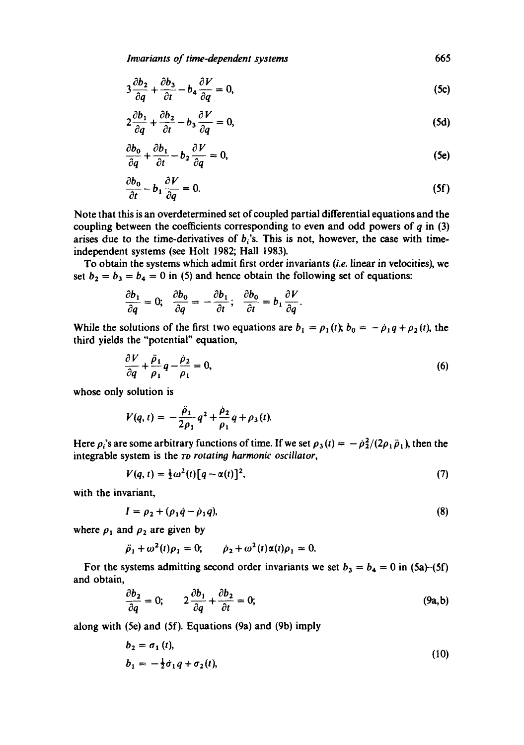*Invariants of time-dependent systems* 665

$$
3\frac{\partial b_2}{\partial q} + \frac{\partial b_3}{\partial t} - b_4 \frac{\partial V}{\partial q} = 0,
$$
 (5c)

$$
2\frac{\partial b_1}{\partial q} + \frac{\partial b_2}{\partial t} - b_3 \frac{\partial V}{\partial q} = 0,
$$
 (5d)

$$
\frac{\partial b_0}{\partial q} + \frac{\partial b_1}{\partial t} - b_2 \frac{\partial V}{\partial q} = 0,
$$
 (5e)

$$
\frac{\partial b_0}{\partial t} - b_1 \frac{\partial V}{\partial q} = 0. \tag{5f}
$$

Note that this is an overdetermined set of coupled partial differential equations and the coupling between the coefficients corresponding to even and odd powers of  $q$  in (3) arises due to the time-derivatives of  $b_i$ 's. This is not, however, the case with timeindependent systems (see Holt 1982; Hall 1983).

To obtain the systems which admit first order invariants *(i.e.* linear in velocities), we set  $b_2 = b_3 = b_4 = 0$  in (5) and hence obtain the following set of equations:

$$
\frac{\partial b_1}{\partial q} = 0; \quad \frac{\partial b_0}{\partial q} = -\frac{\partial b_1}{\partial t}; \quad \frac{\partial b_0}{\partial t} = b_1 \frac{\partial V}{\partial q}.
$$

While the solutions of the first two equations are  $b_1 = \rho_1 (t)$ ;  $b_0 = -\rho_1 q + \rho_2 (t)$ , the third yields the "potential" equation,

$$
\frac{\partial V}{\partial q} + \frac{\ddot{\rho}_1}{\rho_1} q - \frac{\dot{\rho}_2}{\rho_1} = 0, \tag{6}
$$

whose only solution is

$$
V(q, t) = -\frac{\ddot{\rho}_1}{2\rho_1}q^2 + \frac{\dot{\rho}_2}{\rho_1}q + \rho_3(t).
$$

Here  $\rho_i$ 's are some arbitrary functions of time. If we set  $\rho_3(t) = -\rho_2^2/(2\rho_1 \ddot{\rho}_1)$ , then the integrable system is the *rD rotatino harmonic oscillator,* 

$$
V(q, t) = \frac{1}{2} \omega^2(t) [q - \alpha(t)]^2,
$$
\n(7)

with the invariant,

$$
I = \rho_2 + (\rho_1 \dot{q} - \dot{\rho}_1 q), \tag{8}
$$

where  $\rho_1$  and  $\rho_2$  are given by

 $\ddot{\rho}_1 + \omega^2(t)\rho_1 = 0; \quad \dot{\rho}_2 + \omega^2(t)\alpha(t)\rho_1 = 0.$ 

For the systems admitting second order invariants we set  $b_3 = b_4 = 0$  in (5a)-(5f) and obtain,

$$
\frac{\partial b_2}{\partial q} = 0; \qquad 2 \frac{\partial b_1}{\partial q} + \frac{\partial b_2}{\partial t} = 0; \tag{9a,b}
$$

along with (5e) and (5f). Equations (9a) and (9b) imply

$$
b_2 = \sigma_1(t),
$$
  
\n
$$
b_1 = -\frac{1}{2}\dot{\sigma}_1 q + \sigma_2(t),
$$
\n(10)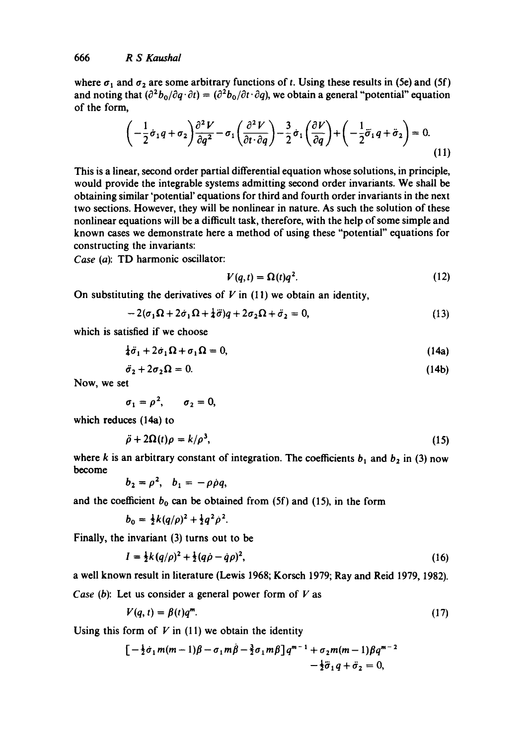where  $\sigma_1$  and  $\sigma_2$  are some arbitrary functions of t. Using these results in (5e) and (5f) and noting that  $(\partial^2 b_0/\partial q \cdot \partial t) = (\partial^2 b_0/\partial t \cdot \partial q)$ , we obtain a general "potential" equation of the form,

$$
\left(-\frac{1}{2}\dot{\sigma}_1q + \sigma_2\right)\frac{\partial^2 V}{\partial q^2} - \sigma_1\left(\frac{\partial^2 V}{\partial t \cdot \partial q}\right) - \frac{3}{2}\dot{\sigma}_1\left(\frac{\partial V}{\partial q}\right) + \left(-\frac{1}{2}\ddot{\sigma}_1q + \ddot{\sigma}_2\right) = 0.
$$
\n(11)

This is a linear, second order partial differential equation whose solutions, in principle, would provide the integrable systems admitting second order invariants. We shall be obtaining similar 'potential' equations for third and fourth order invariants in the next two sections. However, they will be nonlinear in nature. As such the solution of these nonlinear equations will be a difficult task, therefore, with the help of some simple and known cases we demonstrate here a method of using these "potential" equations for constructing the invariants:

*Case* (a): TD harmonic oscillator:

$$
V(q,t) = \Omega(t)q^2. \tag{12}
$$

On substituting the derivatives of  $V$  in (11) we obtain an identity,

$$
-2(\sigma_1\Omega+2\dot{\sigma}_1\Omega+\frac{1}{4}\ddot{\sigma})q+2\sigma_2\Omega+\ddot{\sigma}_2=0,
$$
\n(13)

which is satisfied if we choose

$$
\frac{1}{4}\ddot{\sigma}_1 + 2\dot{\sigma}_1\Omega + \sigma_1\Omega = 0,\tag{14a}
$$

$$
\ddot{\sigma}_2 + 2\sigma_2 \Omega = 0. \tag{14b}
$$

**Now,** we set

$$
\sigma_1=\rho^2, \qquad \sigma_2=0,
$$

which reduces (14a) to

$$
\ddot{\rho} + 2\Omega(t)\rho = k/\rho^3,\tag{15}
$$

where k is an arbitrary constant of integration. The coefficients  $b_1$  and  $b_2$  in (3) now become

$$
b_2=\rho^2, \quad b_1=-\rho\rho q,
$$

and the coefficient  $b_0$  can be obtained from (5f) and (15), in the form

$$
b_0 = \frac{1}{2}k(q/\rho)^2 + \frac{1}{2}q^2\rho^2.
$$

Finally, the invariant (3) turns out to be

$$
I = \frac{1}{2}k(q/\rho)^2 + \frac{1}{2}(q\rho - \dot{q}\rho)^2,\tag{16}
$$

a well known result in literature (Lewis 1968; Korsch 1979; Ray and Reid 1979, 1982).

*Case (b)*: Let us consider a general power form of V as

$$
V(q,t) = \beta(t)q^m. \tag{17}
$$

Using this form of  $V$  in (11) we obtain the identity

$$
\left[-\frac{1}{2}\dot{\sigma}_1 m(m-1)\beta - \sigma_1 m \dot{\beta} - \frac{3}{2}\sigma_1 m \beta\right] q^{m-1} + \sigma_2 m(m-1)\beta q^{m-2} - \frac{1}{2}\ddot{\sigma}_1 q + \ddot{\sigma}_2 = 0,
$$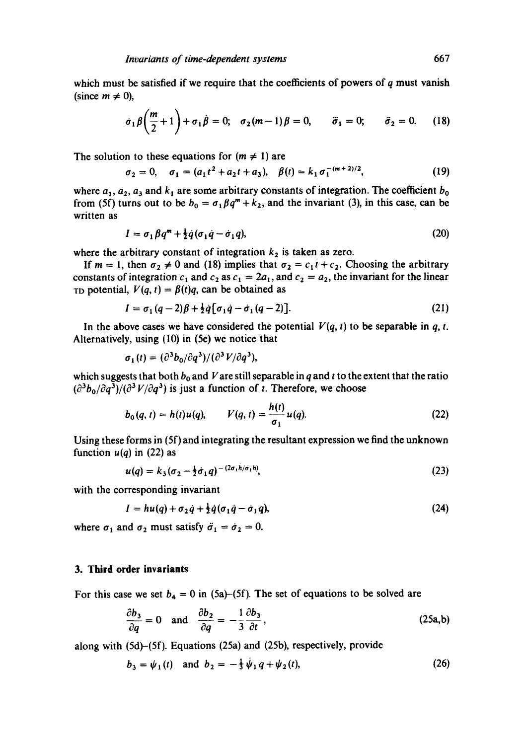which must be satisfied if we require that the coefficients of powers of  $q$  must vanish (since  $m \neq 0$ ),

$$
\dot{\sigma}_1 \beta \bigg( \frac{m}{2} + 1 \bigg) + \sigma_1 \dot{\beta} = 0; \quad \sigma_2 (m - 1) \beta = 0, \qquad \ddot{\sigma}_1 = 0; \qquad \ddot{\sigma}_2 = 0. \tag{18}
$$

The solution to these equations for  $(m \neq 1)$  are

$$
\sigma_2 = 0, \quad \sigma_1 = (a_1 t^2 + a_2 t + a_3), \quad \beta(t) = k_1 \sigma_1^{-(m+2)/2}, \tag{19}
$$

where  $a_1, a_2, a_3$  and  $k_1$  are some arbitrary constants of integration. The coefficient  $b_0$ from (5f) turns out to be  $b_0 = \sigma_1 \beta q^m + k_2$ , and the invariant (3), in this case, can be written as

$$
I = \sigma_1 \beta q^m + \frac{1}{2} \dot{q} (\sigma_1 \dot{q} - \dot{\sigma}_1 q), \qquad (20)
$$

where the arbitrary constant of integration  $k_2$  is taken as zero.

If  $m = 1$ , then  $\sigma_2 \neq 0$  and (18) implies that  $\sigma_2 = c_1 t + c_2$ . Choosing the arbitrary constants of integration  $c_1$  and  $c_2$  as  $c_1 = 2a_1$ , and  $c_2 = a_2$ , the invariant for the linear To potential,  $V(q, t) = \beta(t)q$ , can be obtained as

$$
I = \sigma_1 (q-2) \beta + \frac{1}{2} \dot{q} [\sigma_1 \dot{q} - \dot{\sigma}_1 (q-2)].
$$
\n(21)

In the above cases we have considered the potential  $V(q, t)$  to be separable in q, t. Alternatively, using (I0) in (5e) we notice that

$$
\sigma_1(t) = (\partial^3 b_0/\partial q^3)/(\partial^3 V/\partial q^3),
$$

which suggests that both  $b_0$  and V are still separable in q and t to the extent that the ratio  $(\partial^3b_0/\partial q^3)/(\partial^3V/\partial q^3)$  is just a function of t. Therefore, we choose

$$
b_0(q, t) = h(t)u(q), \qquad V(q, t) = \frac{h(t)}{\sigma_1}u(q). \tag{22}
$$

Using these forms in (5f) and integrating the resultant expression we find the unknown function  $u(q)$  in (22) as

$$
u(q) = k_3 (\sigma_2 - \frac{1}{2} \dot{\sigma}_1 q)^{-(2\sigma_1 h/\dot{\sigma}_1 h)},
$$
\n(23)

with the corresponding invariant

$$
I = hu(q) + \sigma_2 \dot{q} + \frac{1}{2} \dot{q} (\sigma_1 \dot{q} - \dot{\sigma}_1 q), \qquad (24)
$$

where  $\sigma_1$  and  $\sigma_2$  must satisfy  $\ddot{\sigma}_1 = \dot{\sigma}_2 = 0$ .

#### **3. Third order invariants**

For this case we set  $b_4 = 0$  in (5a)–(5f). The set of equations to be solved are

$$
\frac{\partial b_3}{\partial q} = 0 \quad \text{and} \quad \frac{\partial b_2}{\partial q} = -\frac{1}{3} \frac{\partial b_3}{\partial t},\tag{25a,b}
$$

along with (Sd)-(Sf). Equations (25a) and (25b), respectively, provide

$$
b_3 = \psi_1(t) \quad \text{and} \quad b_2 = -\frac{1}{3}\psi_1 q + \psi_2(t), \tag{26}
$$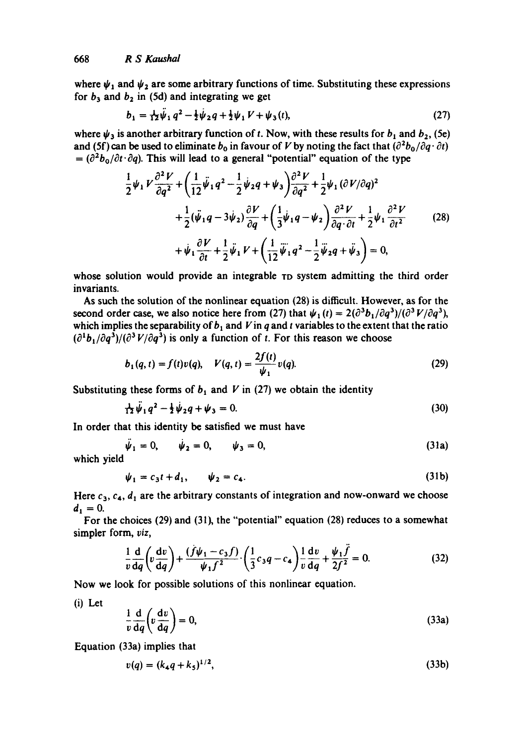where  $\psi_1$  and  $\psi_2$  are some arbitrary functions of time. Substituting these expressions for  $b_3$  and  $b_2$  in (5d) and integrating we get

$$
b_1 = \frac{1}{12}\dot{\psi}_1 q^2 - \frac{1}{2}\dot{\psi}_2 q + \frac{1}{2}\dot{\psi}_1 V + \dot{\psi}_3(t),
$$
 (27)

where  $\psi_3$  is another arbitrary function of t. Now, with these results for  $b_1$  and  $b_2$ , (5e) and (5f) can be used to eliminate  $b_0$  in favour of V by noting the fact that  $\left(\frac{\partial^2 b_0}{\partial q \cdot \partial t}\right)$  $= (\partial^2 b_0/\partial t \cdot \partial q)$ . This will lead to a general "potential" equation of the type

$$
\frac{1}{2}\psi_1 V \frac{\partial^2 V}{\partial q^2} + \left(\frac{1}{12}\ddot{\psi}_1 q^2 - \frac{1}{2}\dot{\psi}_2 q + \psi_3\right) \frac{\partial^2 V}{\partial q^2} + \frac{1}{2}\psi_1 (\partial V/\partial q)^2 \n+ \frac{1}{2}(\ddot{\psi}_1 q - 3\dot{\psi}_2) \frac{\partial V}{\partial q} + \left(\frac{1}{3}\dot{\psi}_1 q - \psi_2\right) \frac{\partial^2 V}{\partial q \cdot \partial t} + \frac{1}{2}\psi_1 \frac{\partial^2 V}{\partial t^2} \n+ \dot{\psi}_1 \frac{\partial V}{\partial t} + \frac{1}{2}\ddot{\psi}_1 V + \left(\frac{1}{12}\ddot{\psi}_1 q^2 - \frac{1}{2}\ddot{\psi}_2 q + \ddot{\psi}_3\right) = 0,
$$
\n(28)

whose solution would provide an integrable TD system admitting the third order invariants.

As such the solution of the nonlinear equation (28) is difficult. However, as for the second order case, we also notice here from (27) that  $\psi_1(t) = 2(\partial^3 b_1/\partial q^3)/(\partial^3 V/\partial q^3)$ , which implies the separability of  $b_1$  and V in q and t variables to the extent that the ratio  $(\partial^1 b_1/\partial q^3)/(\partial^3 V/\partial q^3)$  is only a function of t. For this reason we choose

$$
b_1(q,t) = f(t)v(q), \quad V(q,t) = \frac{2f(t)}{\psi_1}v(q).
$$
 (29)

Substituting these forms of  $b_1$  and V in (27) we obtain the identity

$$
\frac{1}{12}\psi_1 q^2 - \frac{1}{2}\psi_2 q + \psi_3 = 0. \tag{30}
$$

In order that this identity be satisfied we must have

$$
\ddot{\psi}_1 = 0, \qquad \dot{\psi}_2 = 0, \qquad \psi_3 = 0, \tag{31a}
$$

which yield

$$
\psi_1 = c_3 t + d_1, \qquad \psi_2 = c_4. \tag{31b}
$$

Here  $c_3$ ,  $c_4$ ,  $d_1$  are the arbitrary constants of integration and now-onward we choose  $d_1 = 0$ .

For the choices (29) and (31), the "potential" equation (28) reduces to a somewhat simpler form, *viz,* 

$$
\frac{1}{v}\frac{d}{dq}\left(v\frac{dv}{dq}\right) + \frac{(f\psi_1 - c_3f)}{\psi_1f^2} \cdot \left(\frac{1}{3}c_3q - c_4\right) + \frac{1}{v}\frac{dv}{dq} + \frac{\psi_1\ddot{f}}{2f^2} = 0.
$$
 (32)

Now we look for possible solutions of this nonlinear equation.

(i) Let

$$
\frac{1}{v}\frac{d}{dq}\left(v\frac{dv}{dq}\right) = 0,\t(33a)
$$

Equation (33a) implies that

$$
v(q) = (k_4 q + k_5)^{1/2}, \tag{33b}
$$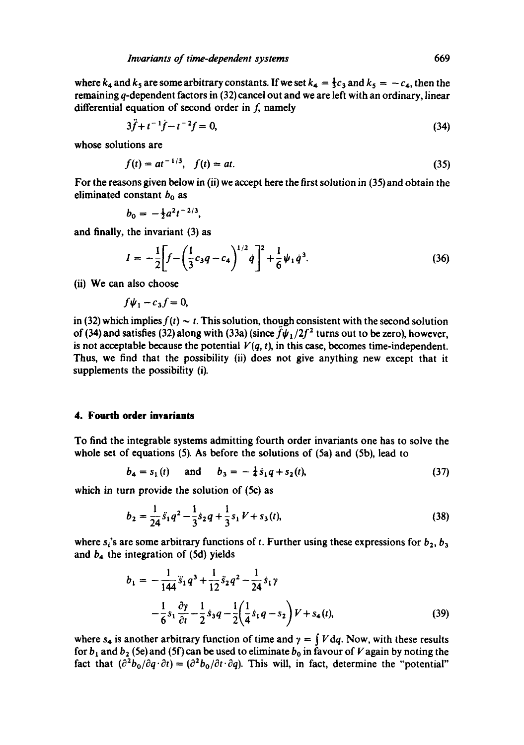where  $k_4$  and  $k_5$  are some arbitrary constants. If we set  $k_4 = \frac{1}{3}c_3$  and  $k_5 = -c_4$ , then the remaining q-dependent factors in (32) cancel out and we are left with an ordinary, linear differential equation of second order in  $f$ , namely

$$
3\ddot{f} + t^{-1}\dot{f} - t^{-2}f = 0,\tag{34}
$$

whose solutions are

$$
f(t) = at^{-1/3}, \quad f(t) = at. \tag{35}
$$

For the reasons given below in (ii) we accept here the first solution in (35) and obtain the eliminated constant  $b_0$  as

$$
b_0=-\tfrac{1}{2}a^2t^{-2/3},
$$

and finally, the invariant (3) as

$$
I = -\frac{1}{2} \bigg[ f - \left( \frac{1}{3} c_3 q - c_4 \right)^{1/2} \dot{q} \bigg]^2 + \frac{1}{6} \psi_1 \dot{q}^3. \tag{36}
$$

(ii) We can also choose

$$
f\psi_1-c_3f=0,
$$

in (32) which implies  $f(t) \sim t$ . This solution, though consistent with the second solution of (34) and satisfies (32) along with (33a) (since  $\ddot{f}\psi_1/2f^2$  turns out to be zero), however, is not acceptable because the potential  $V(q, t)$ , in this case, becomes time-independent. Thus, we find that the possibility (ii) does not give anything new except that it supplements the possibility (i).

#### **4. Fourth order invariants**

To find the integrable systems admitting fourth order invariants one has to solve the whole set of equations (5). As before the solutions of (5a) and (5b), lead to

$$
b_4 = s_1(t) \quad \text{and} \quad b_3 = -\frac{1}{4}s_1q + s_2(t), \tag{37}
$$

which in turn provide the solution of (5c) as

$$
b_2 = \frac{1}{24}\ddot{s}_1q^2 - \frac{1}{3}\dot{s}_2q + \frac{1}{3}s_1V + s_3(t),
$$
\n(38)

where  $s_i$ 's are some arbitrary functions of t. Further using these expressions for  $b_2$ ,  $b_3$ and  $b_4$  the integration of (5d) yields

$$
b_1 = -\frac{1}{144}\ddot{s}_1 q^3 + \frac{1}{12}\dot{s}_2 q^2 - \frac{1}{24}\dot{s}_1 \gamma
$$
  

$$
-\frac{1}{6}s_1 \frac{\partial \gamma}{\partial t} - \frac{1}{2}\dot{s}_3 q - \frac{1}{2}\left(\frac{1}{4}\dot{s}_1 q - s_2\right) V + s_4(t),
$$
 (39)

where  $s_4$  is another arbitrary function of time and  $\gamma = \int V dq$ . Now, with these results for  $b_1$  and  $b_2$  (5e) and (5f) can be used to eliminate  $b_0$  in favour of V again by noting the fact that  $\left(\frac{\partial^2 b_0}{\partial q \cdot \partial t}\right) = \left(\frac{\partial^2 b_0}{\partial t \cdot \partial q}\right)$ . This will, in fact, determine the "potential"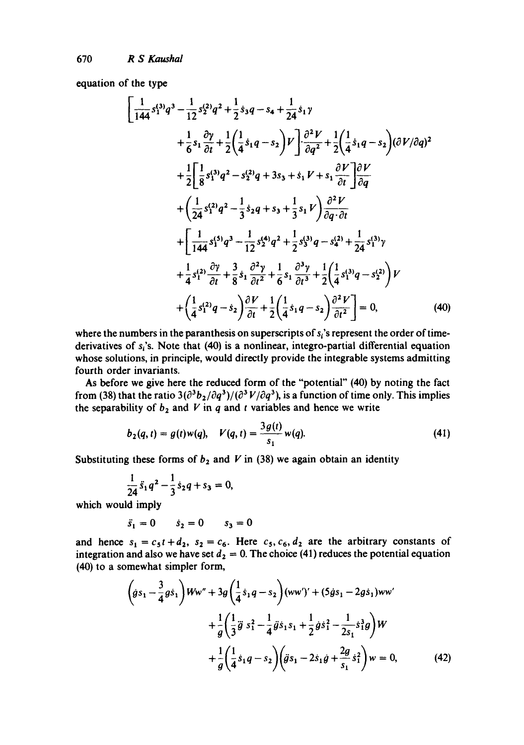equation of the type

$$
\left[\frac{1}{144}s_1^{(3)}q^3 - \frac{1}{12}s_2^{(2)}q^2 + \frac{1}{2}s_3q - s_4 + \frac{1}{24}s_1\gamma + \frac{1}{6}s_1\frac{\partial\gamma}{\partial t} + \frac{1}{2}\left(\frac{1}{4}s_1q - s_2\right)V\right] \cdot \frac{\partial^2V}{\partial q^2} + \frac{1}{2}\left(\frac{1}{4}s_1q - s_2\right)(\partial V/\partial q)^2 + \frac{1}{2}\left[\frac{1}{8}s_1^{(3)}q^2 - s_2^{(2)}q + 3s_3 + s_1V + s_1\frac{\partial V}{\partial t}\right]\frac{\partial V}{\partial q} + \left(\frac{1}{24}s_1^{(2)}q^2 - \frac{1}{3}s_2q + s_3 + \frac{1}{3}s_1V\right)\frac{\partial^2V}{\partial q \cdot \partial t} + \frac{1}{24}s_1^{(3)}q^3 - \frac{1}{12}s_2^{(4)}q^2 + \frac{1}{2}s_3^{(3)}q - s_4^{(2)} + \frac{1}{24}s_1^{(3)}\gamma + \frac{1}{4}s_1^{(2)}\frac{\partial\gamma}{\partial t} + \frac{3}{8}s_1\frac{\partial^2\gamma}{\partial t^2} + \frac{1}{6}s_1\frac{\partial^3\gamma}{\partial t^3} + \frac{1}{2}\left(\frac{1}{4}s_1^{(3)}q - s_2^{(2)}\right)V + \left(\frac{1}{4}s_1^{(2)}q - s_2\right)\frac{\partial V}{\partial t} + \frac{1}{2}\left(\frac{1}{4}s_1q - s_2\right)\frac{\partial^2V}{\partial t^2}\right] = 0,
$$
\n(40)

where the numbers in the paranthesis on superscripts of  $s<sub>i</sub>$ 's represent the order of timederivatives of  $s_i$ 's. Note that (40) is a nonlinear, integro-partial differential equation whose solutions, in principle, would directly provide the integrable systems admitting fourth order invariants.

As before we give here the reduced form of the "potential" (40) by noting the fact from (38) that the ratio  $3(\partial^3b_2/\partial q^3)/(\partial^3V/\partial q^3)$ , is a function of time only. This implies the separability of  $b_2$  and V in q and t variables and hence we write

$$
b_2(q,t) = g(t)w(q), \quad V(q,t) = \frac{3g(t)}{s_1}w(q).
$$
 (41)

Substituting these forms of  $b_2$  and V in (38) we again obtain an identity

$$
\frac{1}{24}\ddot{s}_1q^2-\frac{1}{3}\dot{s}_2q+s_3=0,
$$

which would imply

$$
\ddot{s}_1 = 0 \qquad \dot{s}_2 = 0 \qquad s_3 = 0
$$

and hence  $s_1 = c_5t + d_2$ ,  $s_2 = c_6$ . Here  $c_5$ ,  $c_6$ ,  $d_2$  are the arbitrary constants of integration and also we have set  $d_2 = 0$ . The choice (41) reduces the potential equation (40) to a somewhat simpler form,

$$
\left(\dot{g}s_1 - \frac{3}{4}g\dot{s}_1\right)Ww'' + 3g\left(\frac{1}{4}\dot{s}_1q - s_2\right)(ww')' + (5\dot{g}s_1 - 2g\dot{s}_1)ww'+\frac{1}{g}\left(\frac{1}{3}\ddot{g}s_1^2 - \frac{1}{4}\ddot{g}\dot{s}_1s_1 + \frac{1}{2}\dot{g}\dot{s}_1^2 - \frac{1}{2s_1}\dot{s}_1^3g\right)W+\frac{1}{g}\left(\frac{1}{4}\dot{s}_1q - s_2\right)\left(\ddot{g}s_1 - 2\dot{s}_1\dot{g} + \frac{2g}{s_1}\dot{s}_1^2\right)w = 0,
$$
 (42)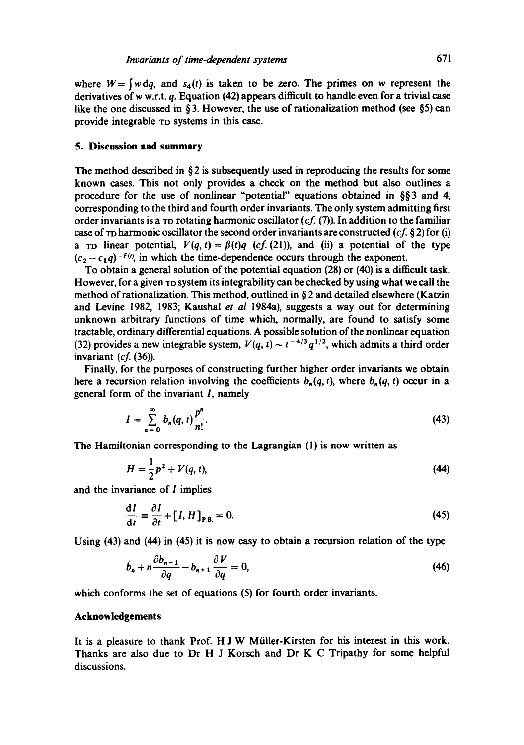where  $W = \int w \, dq$ , and  $s_4(t)$  is taken to be zero. The primes on w represent the derivatives of w w.r.t. q. Equation (42) appears difficult to handle even for a trivial case like the one discussed in § 3. However, the use of rationalization method (see §5) can provide integrable TD systems in this case.

#### **5. Discussion and summary**

The method described in  $\S 2$  is subsequently used in reproducing the results for some known cases. This not only provides a check on the method but also outlines a procedure for the use of nonlinear "potential" equations obtained in  $\S$ §3 and 4, corresponding to the third and fourth order invariants. The only system admitting first order invariants is a <sub>TD</sub> rotating harmonic oscillator  $(cf. (7))$ . In addition to the familiar case of TO harmonic oscillator the second order invariants are constructed *(cf. §* 2) for (i) a r<sub>D</sub> linear potential,  $V(q, t) = \beta(t)q$  (cf. (21)), and (ii) a potential of the type  $(c_2 - c_1q)^{-F(t)}$ , in which the time-dependence occurs through the exponent.

To obtain a general solution of the potential equation (28) or (40) is a difficult task. However, for a given  $TDS$  ystem its integrability can be checked by using what we call the method of rationalization. This method, outlined in § 2 and detailed elsewhere (Katzin and Levine 1982, 1983; Kaushal *et al* 1984a), suggests a way out for determining unknown arbitrary functions of time which, normally, are found to satisfy some tractable, ordinary differential equations. A possible solution of the nonlinear equation (32) provides a new integrable system,  $V(q, t) \sim t^{-4/3} q^{1/2}$ , which admits a third order invariant *(cf.* (36)).

Finally, for the purposes of constructing further higher order invariants we obtain here a recursion relation involving the coefficients  $b_n(q, t)$ , where  $b_n(q, t)$  occur in a general form of the invariant I, namely

$$
I = \sum_{n=0}^{\infty} b_n(q, t) \frac{p^n}{n!}.
$$
 (43)

The Hamiltonian corresponding to the Lagrangian (1) is now written as

$$
H = \frac{1}{2}p^2 + V(q, t),
$$
 (44)

and the invariance of I implies

$$
\frac{\mathrm{d}I}{\mathrm{d}t} \equiv \frac{\partial I}{\partial t} + [I, H]_{\mathrm{P.B.}} = 0. \tag{45}
$$

Using (43) and (44) in (45) it is now easy to obtain a recursion relation of the type

$$
\dot{b}_n + n \frac{\partial b_{n-1}}{\partial q} - b_{n+1} \frac{\partial V}{\partial q} = 0, \tag{46}
$$

which conforms the set of equations (5) for fourth order invariants.

### **Acknowledgements**

It is a pleasure to thank Prof. H J W Miiller-Kirsten for his interest in this work. Thanks are also due to Dr H J Korsch and Dr K C Tripathy for some helpful discussions.